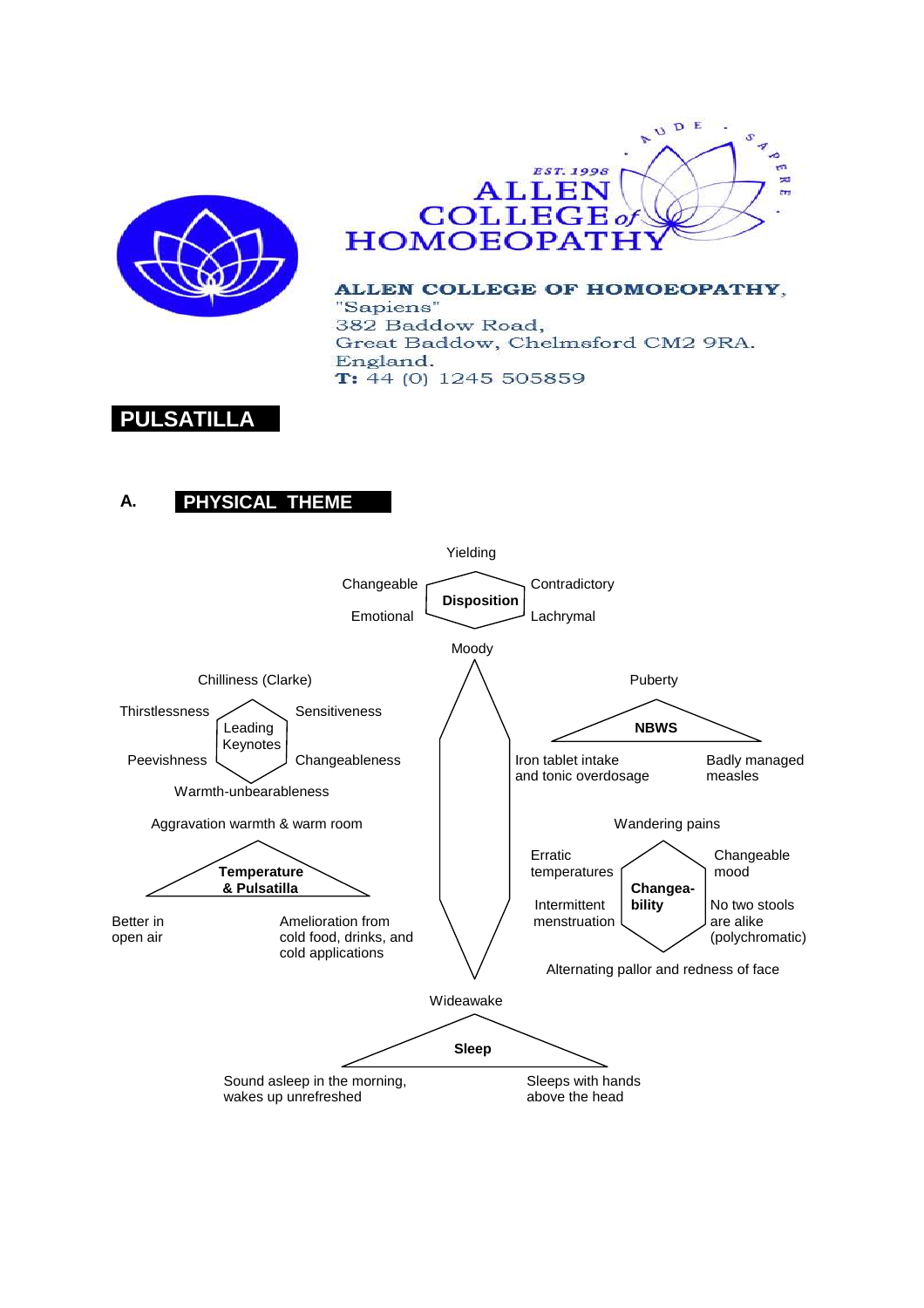



ALLEN COLLEGE OF HOMOEOPATHY, "Sapiens" 382 Baddow Road, Great Baddow, Chelmsford CM2 9RA. England.  $T: 44(0)$  1245 505859

# **PULSATILLA**

## **A. PHYSICAL THEME**

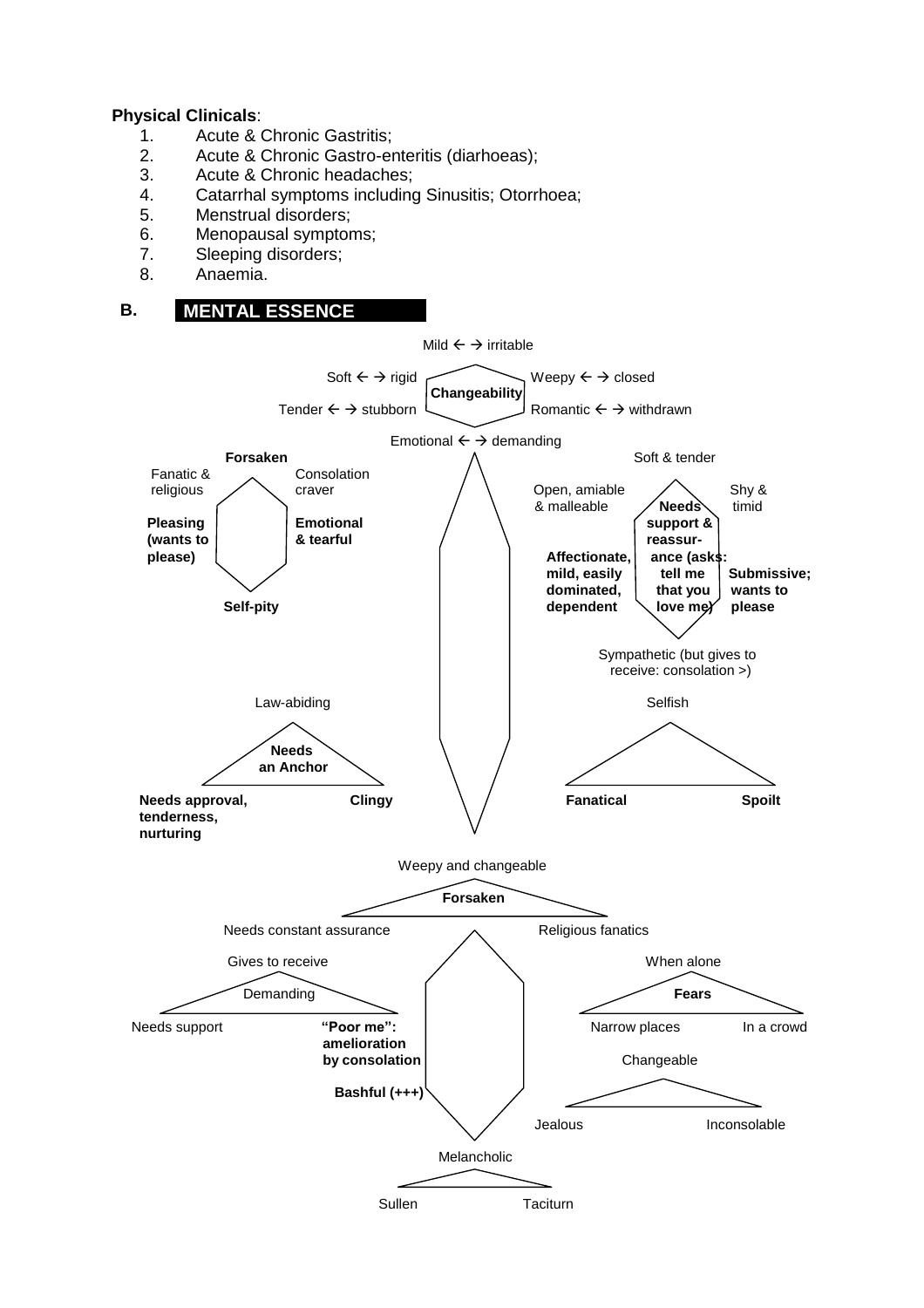#### **Physical Clinicals**:

- 1. Acute & Chronic Gastritis;
- 2. Acute & Chronic Gastro-enteritis (diarhoeas);
- 3. Acute & Chronic headaches;
- 4. Catarrhal symptoms including Sinusitis; Otorrhoea;
- 5. Menstrual disorders;
- 6. Menopausal symptoms;
- 7. Sleeping disorders;
- 8. Anaemia.

### **B. MENTAL ESSENCE**

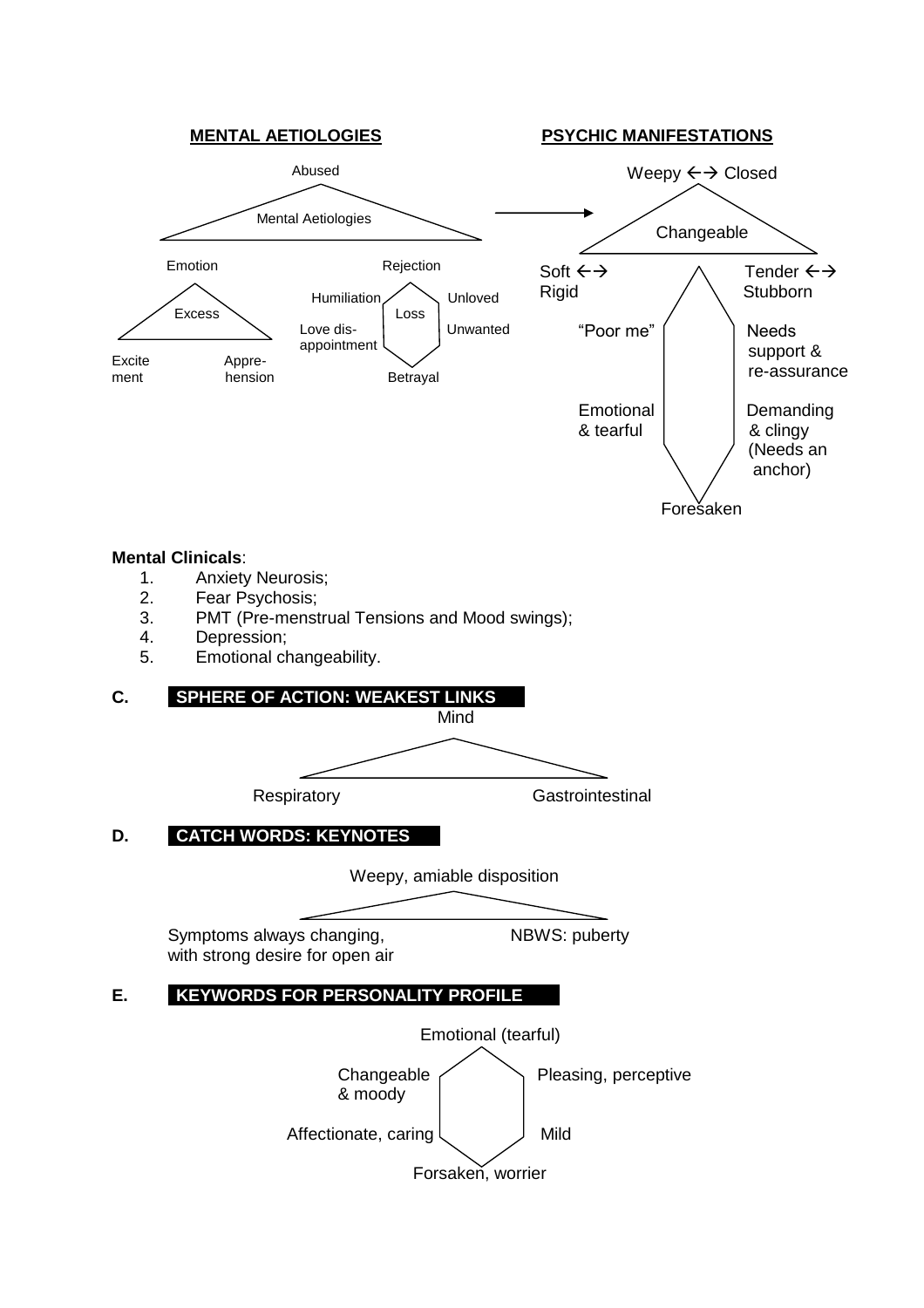